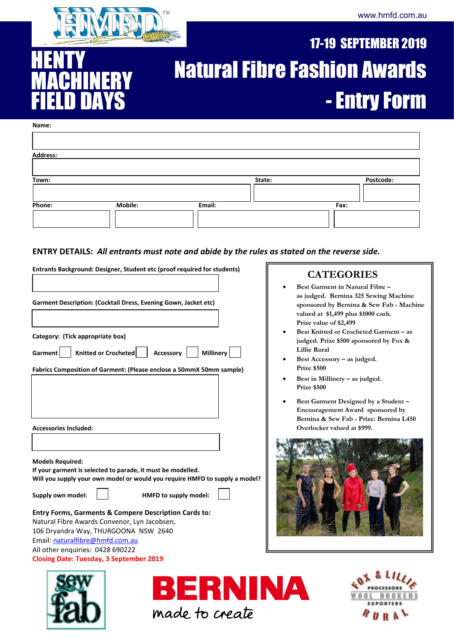

## 17-19 SEPTEMBER 2019 Natural Fibre Fashion Awards - Entry Form

#### **Name:**

**HENTY** 

MACHINERY

FIELD DAYS

10.

| <b>Address:</b> |                |        |        |      |           |
|-----------------|----------------|--------|--------|------|-----------|
|                 |                |        |        |      |           |
| Town:           |                |        | State: |      | Postcode: |
|                 |                |        |        |      |           |
| Phone:          | <b>Mobile:</b> | Email: |        | Fax: |           |
|                 |                |        |        |      |           |

#### **ENTRY DETAILS:** *All entrants must note and abide by the rules as stated on the reverse side.*

| Entrants Background: Designer, Student etc (proof required for students)                                                                                                                                                                                                                                                                                                                                                                                                    | <b>CATEGORIES</b>                                                                                                                                                                     |
|-----------------------------------------------------------------------------------------------------------------------------------------------------------------------------------------------------------------------------------------------------------------------------------------------------------------------------------------------------------------------------------------------------------------------------------------------------------------------------|---------------------------------------------------------------------------------------------------------------------------------------------------------------------------------------|
| Garment Description: (Cocktail Dress, Evening Gown, Jacket etc)                                                                                                                                                                                                                                                                                                                                                                                                             | Best Garment in Natural Fibre -<br>as judged. Bernina 325 Sewing Machine<br>sponsored by Bernina & Sew Fab - Machine<br>valued at \$1,499 plus \$1000 cash.<br>Prize value of \$2,499 |
| Category: (Tick appropriate box)<br>Knitted or Crocheted<br><b>Millinery</b><br>Accessory<br>Garment                                                                                                                                                                                                                                                                                                                                                                        | Best Knitted or Crocheted Garment - as<br>judged. Prize \$500 sponsored by Fox &<br><b>Lillie Rural</b>                                                                               |
| Fabrics Composition of Garment: (Please enclose a 50mmX 50mm sample)                                                                                                                                                                                                                                                                                                                                                                                                        | Best Accessory - as judged.<br>Prize \$500<br>Best in Millinery - as judged.<br>Prize \$500                                                                                           |
|                                                                                                                                                                                                                                                                                                                                                                                                                                                                             | Best Garment Designed by a Student -<br>Encouragement Award sponsored by<br>Bernina & Sew Fab - Prize: Bernina L450                                                                   |
| <b>Accessories Included:</b><br><b>Models Required:</b><br>If your garment is selected to parade, it must be modelled.<br>Will you supply your own model or would you require HMFD to supply a model?<br>Supply own model:<br>HMFD to supply model:<br>Entry Forms, Garments & Compere Description Cards to:<br>Natural Fibre Awards Convenor, Lyn Jacobsen,<br>106 Dryandra Way, THURGOONA NSW 2640<br>Email: naturalfibre@hmfd.com.au<br>All other enquiries: 0428 690222 | Overlocker valued at \$999.                                                                                                                                                           |
| <b>Closing Date: Tuesday, 3 September 2019</b><br>BERNINA<br>made to create                                                                                                                                                                                                                                                                                                                                                                                                 |                                                                                                                                                                                       |
|                                                                                                                                                                                                                                                                                                                                                                                                                                                                             |                                                                                                                                                                                       |